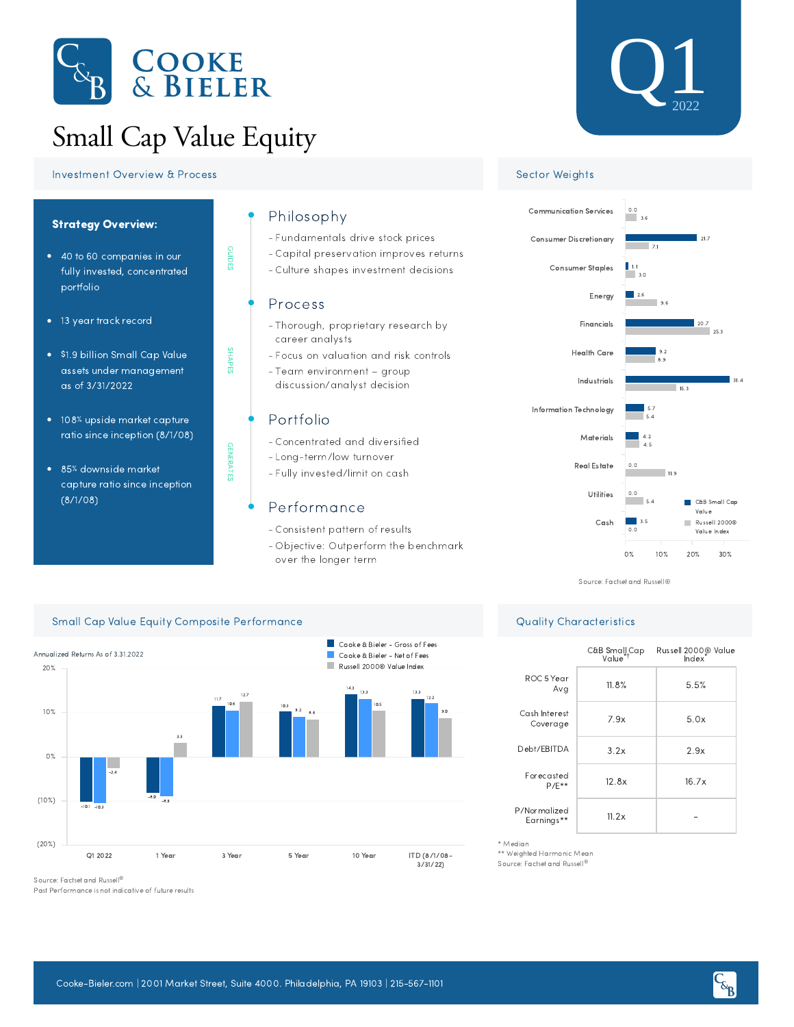

# Small Cap Value Equity

GUIDES

SHAPES

GENERATES

**GENERATES** 





- 108% upside market capture ratio since inception (8/1/08)
- 85% downside market capture ratio since inception (8/1/08)

## Philosophy

- Fundamentals drive stock prices -
- Capital preservation improves returns -
- Culture shapes investment decisions -

### Process

- Thorough, proprietary research by career analysts
- Focus on valuation and risk controls -
- Team environment group discussion/analyst decision

# Portfolio

- Concentrated and diversified -
- Long-term/low turnover
- Fully invested/limit on cash -

# Performance

Consistent pattern of results -

 $\sim$ 

- Objective: Outperform the benchmark over the longer term

Cooke & Bieler - Gross of Fees





Source: Factset and Russell®

|                            | C&B Small <sub>r</sub> Cap<br>Value <sup>*†</sup> | Russell 2000 <sup>®</sup> Value<br>Index |
|----------------------------|---------------------------------------------------|------------------------------------------|
| ROC 5 Year<br>Avg          | 11.8%                                             | 5.5%                                     |
| Cash Interest<br>Coverage  | 7.9x                                              | 5.0x                                     |
| Debt/EBITDA                | 3.2x                                              | 2.9x                                     |
| Forecasted<br>$P/F**$      | 12.8x                                             | 16.7x                                    |
| P/Normalized<br>Earnings** | 11.2x                                             |                                          |

## Small Cap Value Equity Composite Performance and Capital Capital Capital Capital Capital Capital Capital Capital Capital Capital Capital Capital Capital Capital Capital Capital Capital Capital Capital Capital Capital Capit



Source: Factset and Russell ®

Past Performance is not indicative of future results

- \* Median \*\* Weighted Harmonic Mean
- Source: Factset and Russell ®